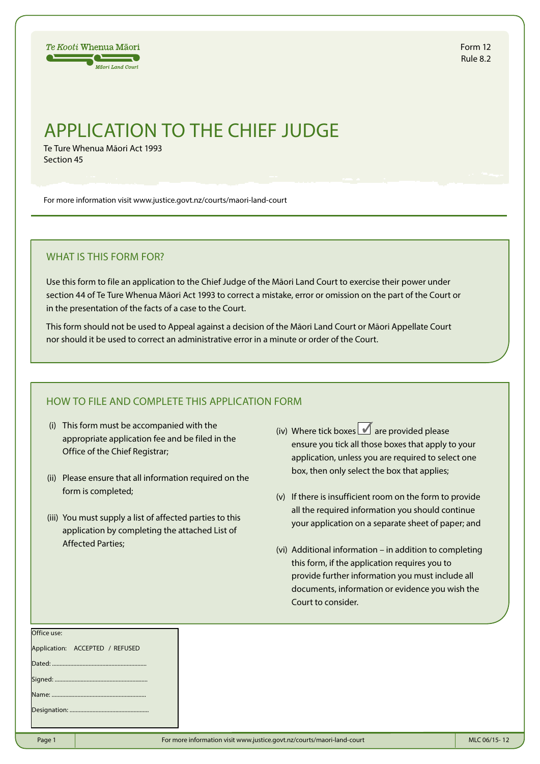

Form 12 Rule 8.2

# APPLICATION TO THE CHIEF JUDGE

Te Ture Whenua Māori Act 1993 Section 45

For more information visit www.justice.govt.nz/courts/maori-land-court

## WHAT IS THIS FORM FOR?

Use this form to file an application to the Chief Judge of the Māori Land Court to exercise their power under section 44 of Te Ture Whenua Māori Act 1993 to correct a mistake, error or omission on the part of the Court or in the presentation of the facts of a case to the Court.

This form should not be used to Appeal against a decision of the Māori Land Court or Māori Appellate Court nor should it be used to correct an administrative error in a minute or order of the Court.

## HOW TO FILE AND COMPLETE THIS APPLICATION FORM

- (i) This form must be accompanied with the appropriate application fee and be filed in the Office of the Chief Registrar;
- (ii) Please ensure that all information required on the form is completed;
- (iii) You must supply a list of affected parties to this application by completing the attached List of Affected Parties;
- (iv) Where tick boxes  $\blacksquare$  are provided please ensure you tick all those boxes that apply to your application, unless you are required to select one box, then only select the box that applies;
- (v) If there is insufficient room on the form to provide all the required information you should continue your application on a separate sheet of paper; and
- (vi) Additional information in addition to completing this form, if the application requires you to provide further information you must include all documents, information or evidence you wish the Court to consider.

| סווורב מאבי                     |  |
|---------------------------------|--|
| Application: ACCEPTED / REFUSED |  |
|                                 |  |
|                                 |  |
|                                 |  |
|                                 |  |
|                                 |  |

 $O<sub>f</sub>$ fice use: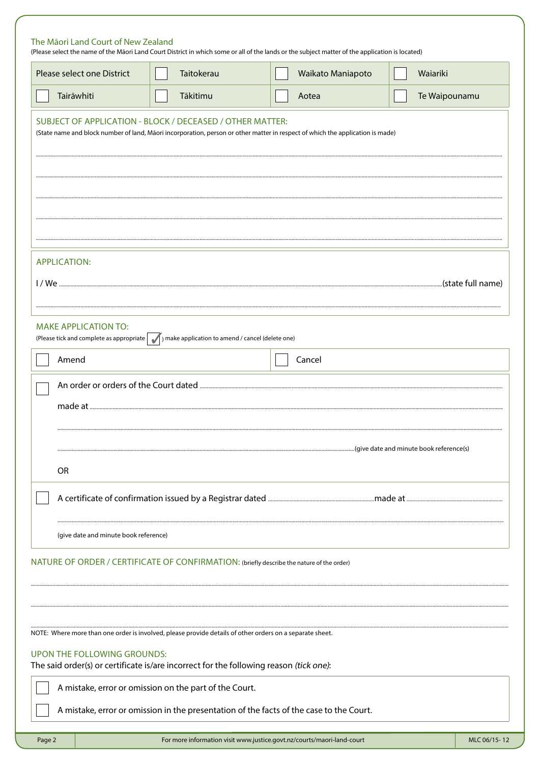| The Māori Land Court of New Zealand   |                                                                                                          |                                                                                                                                                                      |               |
|---------------------------------------|----------------------------------------------------------------------------------------------------------|----------------------------------------------------------------------------------------------------------------------------------------------------------------------|---------------|
| Please select one District            | Taitokerau                                                                                               | (Please select the name of the Māori Land Court District in which some or all of the lands or the subject matter of the application is located)<br>Waikato Maniapoto | Waiariki      |
| Tairāwhiti                            | Tākitimu                                                                                                 | Aotea                                                                                                                                                                | Te Waipounamu |
|                                       | SUBJECT OF APPLICATION - BLOCK / DECEASED / OTHER MATTER:                                                | (State name and block number of land, Māori incorporation, person or other matter in respect of which the application is made)                                       |               |
|                                       |                                                                                                          |                                                                                                                                                                      |               |
| <b>APPLICATION:</b>                   |                                                                                                          |                                                                                                                                                                      |               |
| <b>MAKE APPLICATION TO:</b>           | (Please tick and complete as appropriate $\Box$ ) make application to amend / cancel (delete one)        |                                                                                                                                                                      |               |
| Amend                                 |                                                                                                          | Cancel                                                                                                                                                               |               |
|                                       |                                                                                                          |                                                                                                                                                                      |               |
| OR                                    |                                                                                                          |                                                                                                                                                                      |               |
|                                       |                                                                                                          |                                                                                                                                                                      |               |
| (give date and minute book reference) |                                                                                                          |                                                                                                                                                                      |               |
|                                       | NATURE OF ORDER / CERTIFICATE OF CONFIRMATION: (briefly describe the nature of the order)                |                                                                                                                                                                      |               |
|                                       |                                                                                                          |                                                                                                                                                                      |               |
|                                       | NOTE: Where more than one order is involved, please provide details of other orders on a separate sheet. |                                                                                                                                                                      |               |
| UPON THE FOLLOWING GROUNDS:           | The said order(s) or certificate is/are incorrect for the following reason (tick one):                   |                                                                                                                                                                      |               |
|                                       | A mistake, error or omission on the part of the Court.                                                   |                                                                                                                                                                      |               |
|                                       |                                                                                                          | A mistake, error or omission in the presentation of the facts of the case to the Court.                                                                              |               |

Page 2

MLC 06/15-12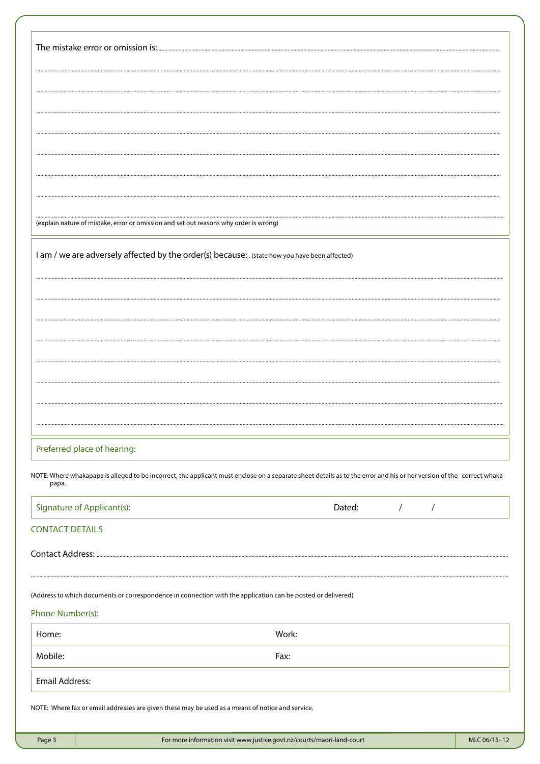| (explain nature of mistake, error or omission and set out reasons why order is wrong)                                                                                          |       |        |                             |  |  |
|--------------------------------------------------------------------------------------------------------------------------------------------------------------------------------|-------|--------|-----------------------------|--|--|
|                                                                                                                                                                                |       |        |                             |  |  |
| I am / we are adversely affected by the order(s) because: . (state how you have been affected)                                                                                 |       |        |                             |  |  |
|                                                                                                                                                                                |       |        |                             |  |  |
|                                                                                                                                                                                |       |        |                             |  |  |
|                                                                                                                                                                                |       |        |                             |  |  |
|                                                                                                                                                                                |       |        |                             |  |  |
|                                                                                                                                                                                |       |        |                             |  |  |
|                                                                                                                                                                                |       |        |                             |  |  |
|                                                                                                                                                                                |       |        |                             |  |  |
|                                                                                                                                                                                |       |        |                             |  |  |
|                                                                                                                                                                                |       |        |                             |  |  |
| Preferred place of hearing:                                                                                                                                                    |       |        |                             |  |  |
| NOTE: Where whakapapa is alleged to be incorrect, the applicant must enclose on a separate sheet details as to the error and his or her version of the correct whaka-<br>papa. |       |        |                             |  |  |
| Signature of Applicant(s):                                                                                                                                                     |       | Dated: | $\frac{1}{2}$ $\frac{1}{2}$ |  |  |
| <b>CONTACT DETAILS</b>                                                                                                                                                         |       |        |                             |  |  |
|                                                                                                                                                                                |       |        |                             |  |  |
| (Address to which documents or correspondence in connection with the application can be posted or delivered)                                                                   |       |        |                             |  |  |
| Phone Number(s):                                                                                                                                                               |       |        |                             |  |  |
| Home:                                                                                                                                                                          | Work: |        |                             |  |  |
| Mobile:                                                                                                                                                                        | Fax:  |        |                             |  |  |
| <b>Email Address:</b>                                                                                                                                                          |       |        |                             |  |  |
| NOTE: Where fax or email addresses are given these may be used as a means of notice and service.                                                                               |       |        |                             |  |  |
|                                                                                                                                                                                |       |        |                             |  |  |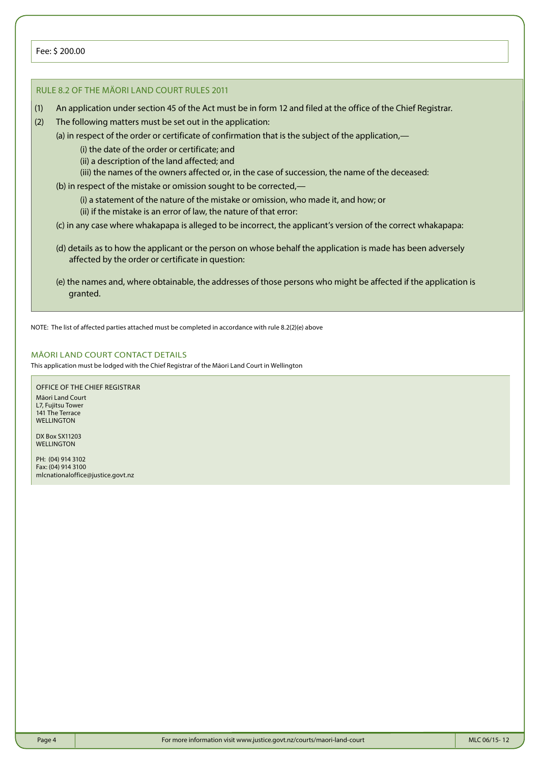### RULE 8.2 OF THE MÄORI LAND COURT RULES 2011

- (1) An application under section 45 of the Act must be in form 12 and filed at the office of the Chief Registrar.
- (2) The following matters must be set out in the application:
	- (a) in respect of the order or certificate of confirmation that is the subject of the application,—
		- (i) the date of the order or certificate; and
		- (ii) a description of the land affected; and
		- (iii) the names of the owners affected or, in the case of succession, the name of the deceased:
	- (b) in respect of the mistake or omission sought to be corrected,—
		- (i) a statement of the nature of the mistake or omission, who made it, and how; or (ii) if the mistake is an error of law, the nature of that error:
	- (c) in any case where whakapapa is alleged to be incorrect, the applicant's version of the correct whakapapa:
	- (d) details as to how the applicant or the person on whose behalf the application is made has been adversely affected by the order or certificate in question:
	- (e) the names and, where obtainable, the addresses of those persons who might be affected if the application is granted.

NOTE: The list of affected parties attached must be completed in accordance with rule 8.2(2)(e) above

### MĀORI LAND COURT CONTACT DETAILS

This application must be lodged with the Chief Registrar of the Māori Land Court in Wellington

#### OFFICE OF THE CHIEF REGISTRAR Māori Land Court L7, Fujitsu Tower 141 The Terrace **WELLINGTON**

DX Box SX11203 WELLINGTON

PH: (04) 914 3102 Fax: (04) 914 3100 mlcnationaloffice@justice.govt.nz